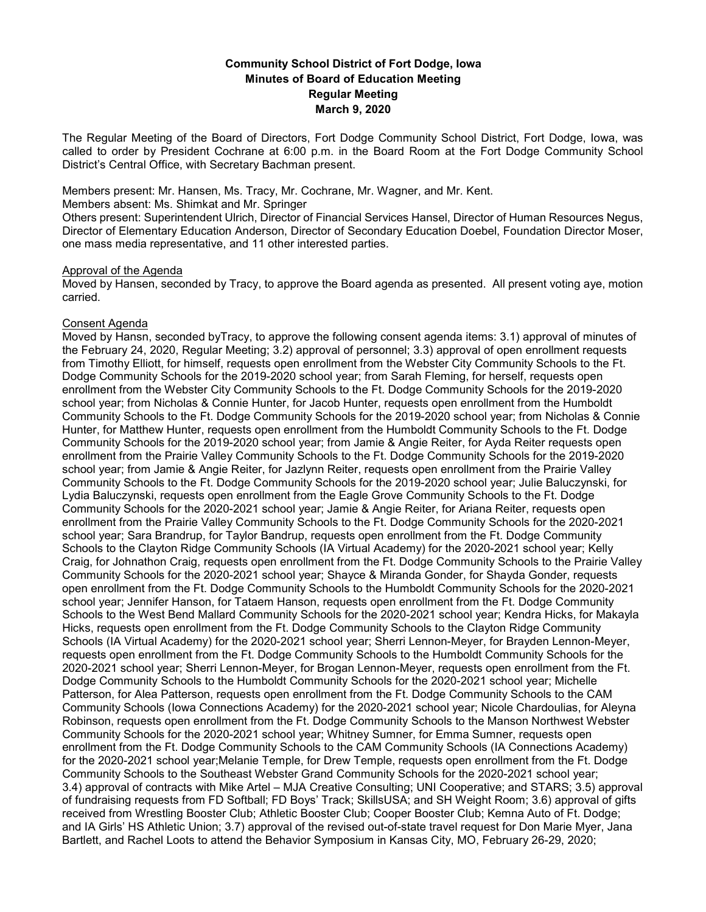# **Community School District of Fort Dodge, Iowa Minutes of Board of Education Meeting Regular Meeting March 9, 2020**

The Regular Meeting of the Board of Directors, Fort Dodge Community School District, Fort Dodge, Iowa, was called to order by President Cochrane at 6:00 p.m. in the Board Room at the Fort Dodge Community School District's Central Office, with Secretary Bachman present.

Members present: Mr. Hansen, Ms. Tracy, Mr. Cochrane, Mr. Wagner, and Mr. Kent.

Members absent: Ms. Shimkat and Mr. Springer

Others present: Superintendent Ulrich, Director of Financial Services Hansel, Director of Human Resources Negus, Director of Elementary Education Anderson, Director of Secondary Education Doebel, Foundation Director Moser, one mass media representative, and 11 other interested parties.

#### Approval of the Agenda

Moved by Hansen, seconded by Tracy, to approve the Board agenda as presented. All present voting aye, motion carried.

### Consent Agenda

Moved by Hansn, seconded byTracy, to approve the following consent agenda items: 3.1) approval of minutes of the February 24, 2020, Regular Meeting; 3.2) approval of personnel; 3.3) approval of open enrollment requests from Timothy Elliott, for himself, requests open enrollment from the Webster City Community Schools to the Ft. Dodge Community Schools for the 2019-2020 school year; from Sarah Fleming, for herself, requests open enrollment from the Webster City Community Schools to the Ft. Dodge Community Schools for the 2019-2020 school year; from Nicholas & Connie Hunter, for Jacob Hunter, requests open enrollment from the Humboldt Community Schools to the Ft. Dodge Community Schools for the 2019-2020 school year; from Nicholas & Connie Hunter, for Matthew Hunter, requests open enrollment from the Humboldt Community Schools to the Ft. Dodge Community Schools for the 2019-2020 school year; from Jamie & Angie Reiter, for Ayda Reiter requests open enrollment from the Prairie Valley Community Schools to the Ft. Dodge Community Schools for the 2019-2020 school year; from Jamie & Angie Reiter, for Jazlynn Reiter, requests open enrollment from the Prairie Valley Community Schools to the Ft. Dodge Community Schools for the 2019-2020 school year; Julie Baluczynski, for Lydia Baluczynski, requests open enrollment from the Eagle Grove Community Schools to the Ft. Dodge Community Schools for the 2020-2021 school year; Jamie & Angie Reiter, for Ariana Reiter, requests open enrollment from the Prairie Valley Community Schools to the Ft. Dodge Community Schools for the 2020-2021 school year; Sara Brandrup, for Taylor Bandrup, requests open enrollment from the Ft. Dodge Community Schools to the Clayton Ridge Community Schools (IA Virtual Academy) for the 2020-2021 school year; Kelly Craig, for Johnathon Craig, requests open enrollment from the Ft. Dodge Community Schools to the Prairie Valley Community Schools for the 2020-2021 school year; Shayce & Miranda Gonder, for Shayda Gonder, requests open enrollment from the Ft. Dodge Community Schools to the Humboldt Community Schools for the 2020-2021 school year; Jennifer Hanson, for Tataem Hanson, requests open enrollment from the Ft. Dodge Community Schools to the West Bend Mallard Community Schools for the 2020-2021 school year; Kendra Hicks, for Makayla Hicks, requests open enrollment from the Ft. Dodge Community Schools to the Clayton Ridge Community Schools (IA Virtual Academy) for the 2020-2021 school year; Sherri Lennon-Meyer, for Brayden Lennon-Meyer, requests open enrollment from the Ft. Dodge Community Schools to the Humboldt Community Schools for the 2020-2021 school year; Sherri Lennon-Meyer, for Brogan Lennon-Meyer, requests open enrollment from the Ft. Dodge Community Schools to the Humboldt Community Schools for the 2020-2021 school year; Michelle Patterson, for Alea Patterson, requests open enrollment from the Ft. Dodge Community Schools to the CAM Community Schools (Iowa Connections Academy) for the 2020-2021 school year; Nicole Chardoulias, for Aleyna Robinson, requests open enrollment from the Ft. Dodge Community Schools to the Manson Northwest Webster Community Schools for the 2020-2021 school year; Whitney Sumner, for Emma Sumner, requests open enrollment from the Ft. Dodge Community Schools to the CAM Community Schools (IA Connections Academy) for the 2020-2021 school year;Melanie Temple, for Drew Temple, requests open enrollment from the Ft. Dodge Community Schools to the Southeast Webster Grand Community Schools for the 2020-2021 school year; 3.4) approval of contracts with Mike Artel – MJA Creative Consulting; UNI Cooperative; and STARS; 3.5) approval of fundraising requests from FD Softball; FD Boys' Track; SkillsUSA; and SH Weight Room; 3.6) approval of gifts received from Wrestling Booster Club; Athletic Booster Club; Cooper Booster Club; Kemna Auto of Ft. Dodge; and IA Girls' HS Athletic Union; 3.7) approval of the revised out-of-state travel request for Don Marie Myer, Jana Bartlett, and Rachel Loots to attend the Behavior Symposium in Kansas City, MO, February 26-29, 2020;